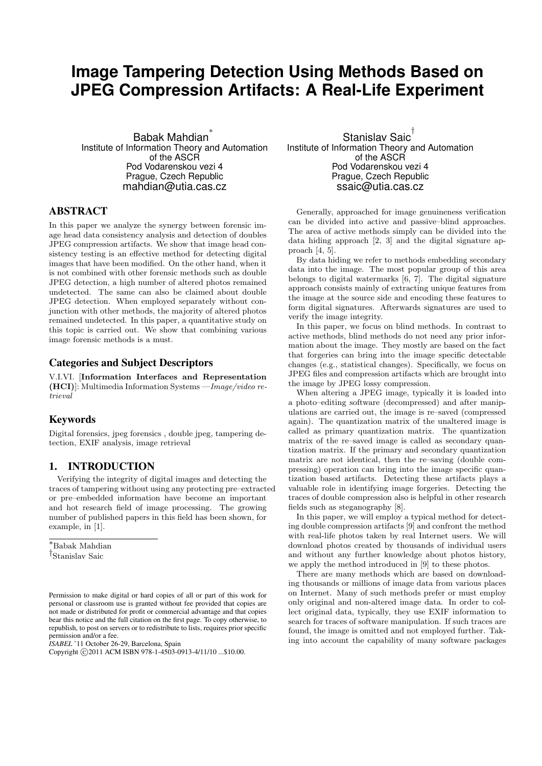# **Image Tampering Detection Using Methods Based on JPEG Compression Artifacts: A Real-Life Experiment**

Babak Mahdian ∗ Institute of Information Theory and Automation of the ASCR Pod Vodarenskou vezi 4 Prague, Czech Republic mahdian@utia.cas.cz

## ABSTRACT

In this paper we analyze the synergy between forensic image head data consistency analysis and detection of doubles JPEG compression artifacts. We show that image head consistency testing is an effective method for detecting digital images that have been modified. On the other hand, when it is not combined with other forensic methods such as double JPEG detection, a high number of altered photos remained undetected. The same can also be claimed about double JPEG detection. When employed separately without conjunction with other methods, the majority of altered photos remained undetected. In this paper, a quantitative study on this topic is carried out. We show that combining various image forensic methods is a must.

## Categories and Subject Descriptors

V.I.VI. [Information Interfaces and Representation (HCI)]: Multimedia Information Systems —Image/video retrieval

## Keywords

Digital forensics, jpeg forensics , double jpeg, tampering detection, EXIF analysis, image retrieval

#### 1. INTRODUCTION

Verifying the integrity of digital images and detecting the traces of tampering without using any protecting pre–extracted or pre–embedded information have become an important and hot research field of image processing. The growing number of published papers in this field has been shown, for example, in [1].

<sup>∗</sup>Babak Mahdian † Stanislav Saic

*ISABEL* '11 October 26-29, Barcelona, Spain

Stanislav Saic<sup>†</sup> Institute of Information Theory and Automation of the ASCR Pod Vodarenskou vezi 4 Prague, Czech Republic ssaic@utia.cas.cz

Generally, approached for image genuineness verification can be divided into active and passive–blind approaches. The area of active methods simply can be divided into the data hiding approach [2, 3] and the digital signature approach [4, 5].

By data hiding we refer to methods embedding secondary data into the image. The most popular group of this area belongs to digital watermarks [6, 7]. The digital signature approach consists mainly of extracting unique features from the image at the source side and encoding these features to form digital signatures. Afterwards signatures are used to verify the image integrity.

In this paper, we focus on blind methods. In contrast to active methods, blind methods do not need any prior information about the image. They mostly are based on the fact that forgeries can bring into the image specific detectable changes (e.g., statistical changes). Specifically, we focus on JPEG files and compression artifacts which are brought into the image by JPEG lossy compression.

When altering a JPEG image, typically it is loaded into a photo–editing software (decompressed) and after manipulations are carried out, the image is re–saved (compressed again). The quantization matrix of the unaltered image is called as primary quantization matrix. The quantization matrix of the re–saved image is called as secondary quantization matrix. If the primary and secondary quantization matrix are not identical, then the re–saving (double compressing) operation can bring into the image specific quantization based artifacts. Detecting these artifacts plays a valuable role in identifying image forgeries. Detecting the traces of double compression also is helpful in other research fields such as steganography [8].

In this paper, we will employ a typical method for detecting double compression artifacts [9] and confront the method with real-life photos taken by real Internet users. We will download photos created by thousands of individual users and without any further knowledge about photos history, we apply the method introduced in [9] to these photos.

There are many methods which are based on downloading thousands or millions of image data from various places on Internet. Many of such methods prefer or must employ only original and non-altered image data. In order to collect original data, typically, they use EXIF information to search for traces of software manipulation. If such traces are found, the image is omitted and not employed further. Taking into account the capability of many software packages

Permission to make digital or hard copies of all or part of this work for personal or classroom use is granted without fee provided that copies are not made or distributed for profit or commercial advantage and that copies bear this notice and the full citation on the first page. To copy otherwise, to republish, to post on servers or to redistribute to lists, requires prior specific permission and/or a fee.

Copyright ©2011 ACM ISBN 978-1-4503-0913-4/11/10 ...\$10.00.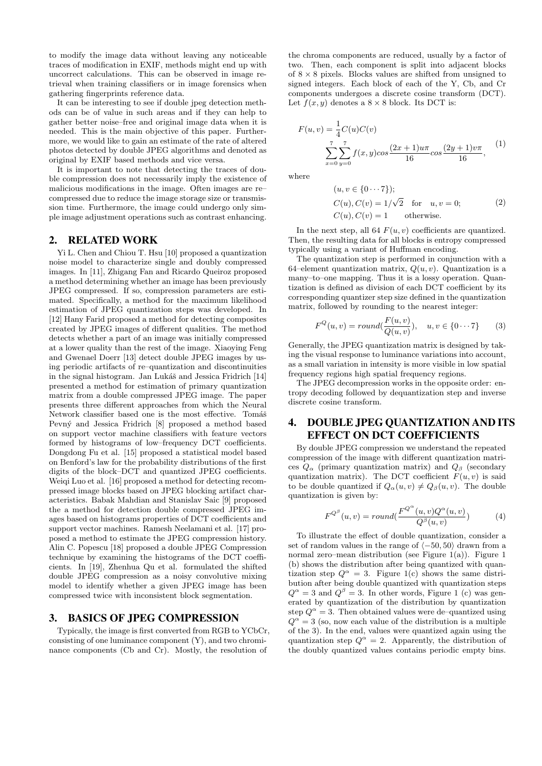to modify the image data without leaving any noticeable traces of modification in EXIF, methods might end up with uncorrect calculations. This can be observed in image retrieval when training classifiers or in image forensics when gathering fingerprints reference data.

It can be interesting to see if double jpeg detection methods can be of value in such areas and if they can help to gather better noise–free and original image data when it is needed. This is the main objective of this paper. Furthermore, we would like to gain an estimate of the rate of altered photos detected by double JPEG algorithms and denoted as original by EXIF based methods and vice versa.

It is important to note that detecting the traces of double compression does not necessarily imply the existence of malicious modifications in the image. Often images are re– compressed due to reduce the image storage size or transmission time. Furthermore, the image could undergo only simple image adjustment operations such as contrast enhancing.

### 2. RELATED WORK

Yi L. Chen and Chiou T. Hsu [10] proposed a quantization noise model to characterize single and doubly compressed images. In [11], Zhigang Fan and Ricardo Queiroz proposed a method determining whether an image has been previously JPEG compressed. If so, compression parameters are estimated. Specifically, a method for the maximum likelihood estimation of JPEG quantization steps was developed. In [12] Hany Farid proposed a method for detecting composites created by JPEG images of different qualities. The method detects whether a part of an image was initially compressed at a lower quality than the rest of the image. Xiaoying Feng and Gwenael Doerr [13] detect double JPEG images by using periodic artifacts of re–quantization and discontinuities in the signal histogram. Jan Lukáš and Jessica Fridrich [14] presented a method for estimation of primary quantization matrix from a double compressed JPEG image. The paper presents three different approaches from which the Neural Network classifier based one is the most effective. Tomáš Pevný and Jessica Fridrich [8] proposed a method based on support vector machine classifiers with feature vectors formed by histograms of low–frequency DCT coefficients. Dongdong Fu et al. [15] proposed a statistical model based on Benford's law for the probability distributions of the first digits of the block–DCT and quantized JPEG coefficients. Weiqi Luo et al. [16] proposed a method for detecting recompressed image blocks based on JPEG blocking artifact characteristics. Babak Mahdian and Stanislav Saic [9] proposed the a method for detection double compressed JPEG images based on histograms properties of DCT coefficients and support vector machines. Ramesh Neelamani et al. [17] proposed a method to estimate the JPEG compression history. Alin C. Popescu [18] proposed a double JPEG Compression technique by examining the histograms of the DCT coefficients. In [19], Zhenhua Qu et al. formulated the shifted double JPEG compression as a noisy convolutive mixing model to identify whether a given JPEG image has been compressed twice with inconsistent block segmentation.

## 3. BASICS OF JPEG COMPRESSION

Typically, the image is first converted from RGB to YCbCr, consisting of one luminance component (Y), and two chrominance components (Cb and Cr). Mostly, the resolution of

the chroma components are reduced, usually by a factor of two. Then, each component is split into adjacent blocks of  $8 \times 8$  pixels. Blocks values are shifted from unsigned to signed integers. Each block of each of the Y, Cb, and Cr components undergoes a discrete cosine transform (DCT). Let  $f(x, y)$  denotes a  $8 \times 8$  block. Its DCT is:

$$
F(u, v) = \frac{1}{4}C(u)C(v)
$$
  

$$
\sum_{x=0}^{7} \sum_{y=0}^{7} f(x, y) \cos \frac{(2x+1)u\pi}{16} \cos \frac{(2y+1)v\pi}{16},
$$
 (1)

where

$$
(u, v \in \{0 \cdots 7\});
$$
  
\n
$$
C(u), C(v) = 1/\sqrt{2} \quad \text{for} \quad u, v = 0;
$$
  
\n
$$
C(u), C(v) = 1 \qquad \text{otherwise.}
$$
\n(2)

In the next step, all 64  $F(u, v)$  coefficients are quantized. Then, the resulting data for all blocks is entropy compressed typically using a variant of Huffman encoding.

The quantization step is performed in conjunction with a 64–element quantization matrix,  $Q(u, v)$ . Quantization is a many–to–one mapping. Thus it is a lossy operation. Quantization is defined as division of each DCT coefficient by its corresponding quantizer step size defined in the quantization matrix, followed by rounding to the nearest integer:

$$
F^{Q}(u,v) = round(\frac{F(u,v)}{Q(u,v)}), \quad u, v \in \{0 \cdots 7\}
$$
 (3)

Generally, the JPEG quantization matrix is designed by taking the visual response to luminance variations into account, as a small variation in intensity is more visible in low spatial frequency regions high spatial frequency regions.

The JPEG decompression works in the opposite order: entropy decoding followed by dequantization step and inverse discrete cosine transform.

# 4. DOUBLE JPEG QUANTIZATION AND ITS EFFECT ON DCT COEFFICIENTS

By double JPEG compression we understand the repeated compression of the image with different quantization matrices  $Q_{\alpha}$  (primary quantization matrix) and  $Q_{\beta}$  (secondary quantization matrix). The DCT coefficient  $F(u, v)$  is said to be double quantized if  $Q_{\alpha}(u, v) \neq Q_{\beta}(u, v)$ . The double quantization is given by:

$$
F^{Q^{\beta}}(u,v) = round(\frac{F^{Q^{\alpha}}(u,v)Q^{\alpha}(u,v)}{Q^{\beta}(u,v)})
$$
\n(4)

To illustrate the effect of double quantization, consider a set of random values in the range of  $(-50, 50)$  drawn from a normal zero–mean distribution (see Figure 1(a)). Figure 1 (b) shows the distribution after being quantized with quantization step  $Q^{\alpha} = 3$ . Figure 1(c) shows the same distribution after being double quantized with quantization steps  $Q^{\alpha} = 3$  and  $Q^{\beta} = 3$ . In other words, Figure 1 (c) was generated by quantization of the distribution by quantization step  $Q^{\alpha} = 3$ . Then obtained values were de–quantized using  $Q^{\alpha} = 3$  (so, now each value of the distribution is a multiple of the 3). In the end, values were quantized again using the quantization step  $Q^{\alpha} = 2$ . Apparently, the distribution of the doubly quantized values contains periodic empty bins.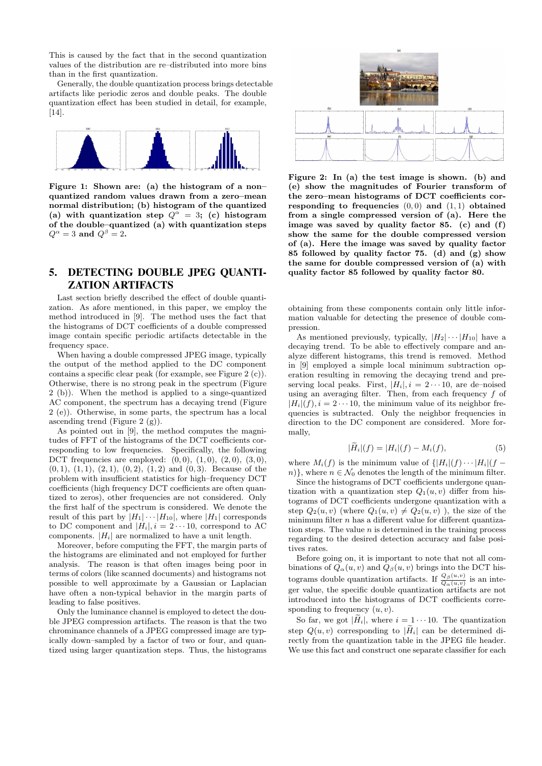This is caused by the fact that in the second quantization values of the distribution are re–distributed into more bins than in the first quantization.

Generally, the double quantization process brings detectable artifacts like periodic zeros and double peaks. The double quantization effect has been studied in detail, for example, [14].



Figure 1: Shown are: (a) the histogram of a non– quantized random values drawn from a zero–mean normal distribution; (b) histogram of the quantized (a) with quantization step  $Q^{\alpha} = 3$ ; (c) histogram of the double–quantized (a) with quantization steps  $Q^{\alpha} = 3$  and  $Q^{\beta} = 2$ .

# 5. DETECTING DOUBLE JPEG QUANTI-ZATION ARTIFACTS

Last section briefly described the effect of double quantization. As afore mentioned, in this paper, we employ the method introduced in [9]. The method uses the fact that the histograms of DCT coefficients of a double compressed image contain specific periodic artifacts detectable in the frequency space.

When having a double compressed JPEG image, typically the output of the method applied to the DC component contains a specific clear peak (for example, see Figure 2 (c)). Otherwise, there is no strong peak in the spectrum (Figure 2 (b)). When the method is applied to a singe-quantized AC component, the spectrum has a decaying trend (Figure 2 (e)). Otherwise, in some parts, the spectrum has a local ascending trend (Figure 2 (g)).

As pointed out in [9], the method computes the magnitudes of FFT of the histograms of the DCT coefficients corresponding to low frequencies. Specifically, the following DCT frequencies are employed:  $(0,0)$ ,  $(1,0)$ ,  $(2,0)$ ,  $(3,0)$ ,  $(0, 1), (1, 1), (2, 1), (0, 2), (1, 2)$  and  $(0, 3)$ . Because of the problem with insufficient statistics for high–frequency DCT coefficients (high frequency DCT coefficients are often quantized to zeros), other frequencies are not considered. Only the first half of the spectrum is considered. We denote the result of this part by  $|H_1|\cdots|H_{10}|$ , where  $|H_1|$  corresponds to DC component and  $|H_i|$ ,  $i = 2 \cdots 10$ , correspond to AC components.  $|H_i|$  are normalized to have a unit length.

Moreover, before computing the FFT, the margin parts of the histograms are eliminated and not employed for further analysis. The reason is that often images being poor in terms of colors (like scanned documents) and histograms not possible to well approximate by a Gaussian or Laplacian have often a non-typical behavior in the margin parts of leading to false positives.

Only the luminance channel is employed to detect the double JPEG compression artifacts. The reason is that the two chrominance channels of a JPEG compressed image are typically down–sampled by a factor of two or four, and quantized using larger quantization steps. Thus, the histograms



Figure 2: In (a) the test image is shown. (b) and (e) show the magnitudes of Fourier transform of the zero–mean histograms of DCT coefficients corresponding to frequencies  $(0, 0)$  and  $(1, 1)$  obtained from a single compressed version of (a). Here the image was saved by quality factor 85. (c) and (f) show the same for the double compressed version of (a). Here the image was saved by quality factor 85 followed by quality factor 75. (d) and  $(g)$  show the same for double compressed version of (a) with quality factor 85 followed by quality factor 80.

obtaining from these components contain only little information valuable for detecting the presence of double compression.

As mentioned previously, typically,  $|H_2| \cdots |H_{10}|$  have a decaying trend. To be able to effectively compare and analyze different histograms, this trend is removed. Method in [9] employed a simple local minimum subtraction operation resulting in removing the decaying trend and preserving local peaks. First,  $|H_i|$ ,  $i = 2 \cdots 10$ , are de–noised using an averaging filter. Then, from each frequency  $f$  of  $|H_i|(f), i = 2 \cdots 10$ , the minimum value of its neighbor frequencies is subtracted. Only the neighbor frequencies in direction to the DC component are considered. More formally,

$$
|\tilde{H}_i|(f) = |H_i|(f) - M_i(f),\tag{5}
$$

where  $M_i(f)$  is the minimum value of  $\{|H_i|(f) \cdots |H_i|(f$ n)}, where  $n \in \mathcal{N}_0$  denotes the length of the minimum filter.

Since the histograms of DCT coefficients undergone quantization with a quantization step  $Q_1(u, v)$  differ from histograms of DCT coefficients undergone quantization with a step  $Q_2(u, v)$  (where  $Q_1(u, v) \neq Q_2(u, v)$ ), the size of the minimum filter  $n$  has a different value for different quantization steps. The value  $n$  is determined in the training process regarding to the desired detection accuracy and false positives rates.

Before going on, it is important to note that not all combinations of  $Q_{\alpha}(u, v)$  and  $Q_{\beta}(u, v)$  brings into the DCT histograms double quantization artifacts. If  $\frac{Q_\beta(u,v)}{Q_\alpha(u,v)}$  is an integer value, the specific double quantization artifacts are not introduced into the histograms of DCT coefficients corresponding to frequency  $(u, v)$ .

So far, we got  $|H_i|$ , where  $i = 1 \cdots 10$ . The quantization step  $Q(u, v)$  corresponding to  $|\widetilde{H}_i|$  can be determined directly from the quantization table in the JPEG file header. We use this fact and construct one separate classifier for each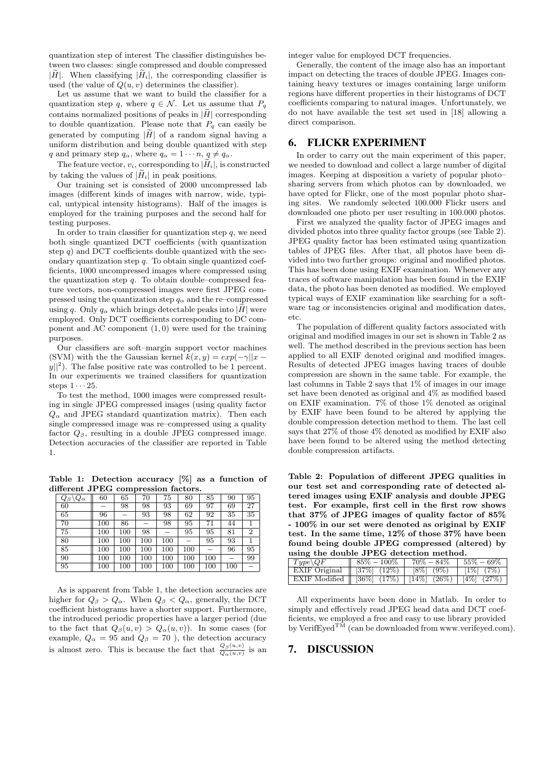quantization step of interest The classifier distinguishes between two classes: single compressed and double compressed  $|\tilde{H}|$ . When classifying  $|\tilde{H}_i|$ , the corresponding classifier is used (the value of  $Q(u, v)$  determines the classifier).

Let us assume that we want to build the classifier for a quantization step q, where  $q \in \mathcal{N}$ . Let us assume that  $P_q$ contains normalized positions of peaks in  $|\tilde{H}|$  corresponding to double quantization. Please note that  $P_q$  can easily be generated by computing  $|\tilde{H}|$  of a random signal having a uniform distribution and being double quantized with step q and primary step  $q_{\alpha}$ , where  $q_{\alpha} = 1 \cdots n$ ,  $q \neq q_{\alpha}$ .

The feature vector,  $v_i$ , corresponding to  $|\widetilde{H}_i|$ , is constructed by taking the values of  $|\tilde{H}_i|$  in peak positions.

Our training set is consisted of 2000 uncompressed lab images (different kinds of images with narrow, wide, typical, untypical intensity histograms). Half of the images is employed for the training purposes and the second half for testing purposes.

In order to train classifier for quantization step  $q$ , we need both single quantized DCT coefficients (with quantization step  $q$ ) and DCT coefficients double quantized with the secondary quantization step  $q$ . To obtain single quantized coefficients, 1000 uncompressed images where compressed using the quantization step  $q$ . To obtain double–compressed feature vectors, non-compressed images were first JPEG compressed using the quantization step  $q_{\alpha}$  and the re–compressed using q. Only  $q_{\alpha}$  which brings detectable peaks into  $|\tilde{H}|$  were employed. Only DCT coefficients corresponding to DC component and AC component  $(1, 0)$  were used for the training purposes.

Our classifiers are soft–margin support vector machines (SVM) with the the Gaussian kernel  $k(x, y) = exp(-\gamma ||x - y||)$  $|y||^2$ ). The false positive rate was controlled to be 1 percent. In our experiments we trained classifiers for quantization steps  $1 \cdots 25$ .

To test the method, 1000 images were compressed resulting in single JPEG compressed images (using quality factor  $Q_{\alpha}$  and JPEG standard quantization matrix). Then each single compressed image was re–compressed using a quality factor  $Q_\beta$ , resulting in a double JPEG compressed image. Detection accuracies of the classifier are reported in Table 1.

Table 1: Detection accuracy [%] as a function of different JPEG compression factors.

| $\setminus Q_\alpha$<br>$Q_{\beta}$ | 60  | 65  | 70      | 75  | 80  | 85  | 90  | 95 |
|-------------------------------------|-----|-----|---------|-----|-----|-----|-----|----|
| 60                                  |     | 98  | 98      | 93  | 69  | 97  | 69  | 27 |
| 65                                  | 96  |     | 93      | 98  | 62  | 92  | 35  | 35 |
| 70                                  | 100 | 86  |         | 98  | 95  | 71  | 44  |    |
| 75                                  | 100 | 100 | 98      |     | 95  | 95  | 81  | 2  |
| 80                                  | 100 | 100 | $100\,$ | 100 |     | 95  | 93  |    |
| 85                                  | 100 | 100 | 100     | 100 | 100 |     | 96  | 95 |
| 90                                  | 100 | 100 | 100     | 100 | 100 | 100 |     | 99 |
| 95                                  | 100 | 100 | $100\,$ | 100 | 100 | 100 | 100 |    |

As is apparent from Table 1, the detection accuracies are higher for  $Q_\beta > Q_\alpha$ . When  $Q_\beta < Q_\alpha$ , generally, the DCT coefficient histograms have a shorter support. Furthermore, the introduced periodic properties have a larger period (due to the fact that  $Q_{\beta}(u, v) > Q_{\alpha}(u, v)$ ). In some cases (for example,  $Q_{\alpha} = 95$  and  $Q_{\beta} = 70$ ), the detection accuracy is almost zero. This is because the fact that  $\frac{Q_\beta(u,v)}{Q_\alpha(u,v)}$  is an

integer value for employed DCT frequencies.

Generally, the content of the image also has an important impact on detecting the traces of double JPEG. Images containing heavy textures or images containing large uniform regions have different properties in their histograms of DCT coefficients comparing to natural images. Unfortunately, we do not have available the test set used in [18] allowing a direct comparison.

## 6. FLICKR EXPERIMENT

In order to carry out the main experiment of this paper, we needed to download and collect a large number of digital images. Keeping at disposition a variety of popular photo– sharing servers from which photos can by downloaded, we have opted for Flickr, one of the most popular photo sharing sites. We randomly selected 100.000 Flickr users and downloaded one photo per user resulting in 100.000 photos.

First we analyzed the quality factor of JPEG images and divided photos into three quality factor groups (see Table 2). JPEG quality factor has been estimated using quantization tables of JPEG files. After that, all photos have been divided into two further groups: original and modified photos. This has been done using EXIF examination. Whenever any traces of software manipulation has been found in the EXIF data, the photo has been denoted as modified. We employed typical ways of EXIF examination like searching for a software tag or inconsistencies original and modification dates, etc.

The population of different quality factors associated with original and modified images in our set is shown in Table 2 as well. The method described in the previous section has been applied to all EXIF denoted original and modified images. Results of detected JPEG images having traces of double compression are shown in the same table. For example, the last columns in Table 2 says that 1% of images in our image set have been denoted as original and 4% as modified based on EXIF examination. 7% of those 1% denoted as original by EXIF have been found to be altered by applying the double compression detection method to them. The last cell says that 27% of those 4% denoted as modified by EXIF also have been found to be altered using the method detecting double compression artifacts.

Table 2: Population of different JPEG qualities in our test set and corresponding rate of detected altered images using EXIF analysis and double JPEG test. For example, first cell in the first row shows that 37% of JPEG images of quality factor of 85% - 100% in our set were denoted as original by EXIF test. In the same time, 12% of those 37% have been found being double JPEG compressed (altered) by using the double JPEG detection method.

| $\mid Type \setminus QF$                                           | $85\% - 100\%$ | $70\% - 84\%$   | $55\%-69\%$     |
|--------------------------------------------------------------------|----------------|-----------------|-----------------|
| EXIF Original    [37%] (12%)                                       |                | $ 8\% $ $(9\%)$ | $\vert$ 1% (7%) |
| EXIF Modified $   36\%   (17\%)   [14\%   (26\%)   [4\%   (27\%)]$ |                |                 |                 |

All experiments have been done in Matlab. In order to simply and effectively read JPEG head data and DCT coefficients, we employed a free and easy to use library provided by VerifEyed<sup>TM</sup> (can be downloaded from www.verifeyed.com).

# 7. DISCUSSION